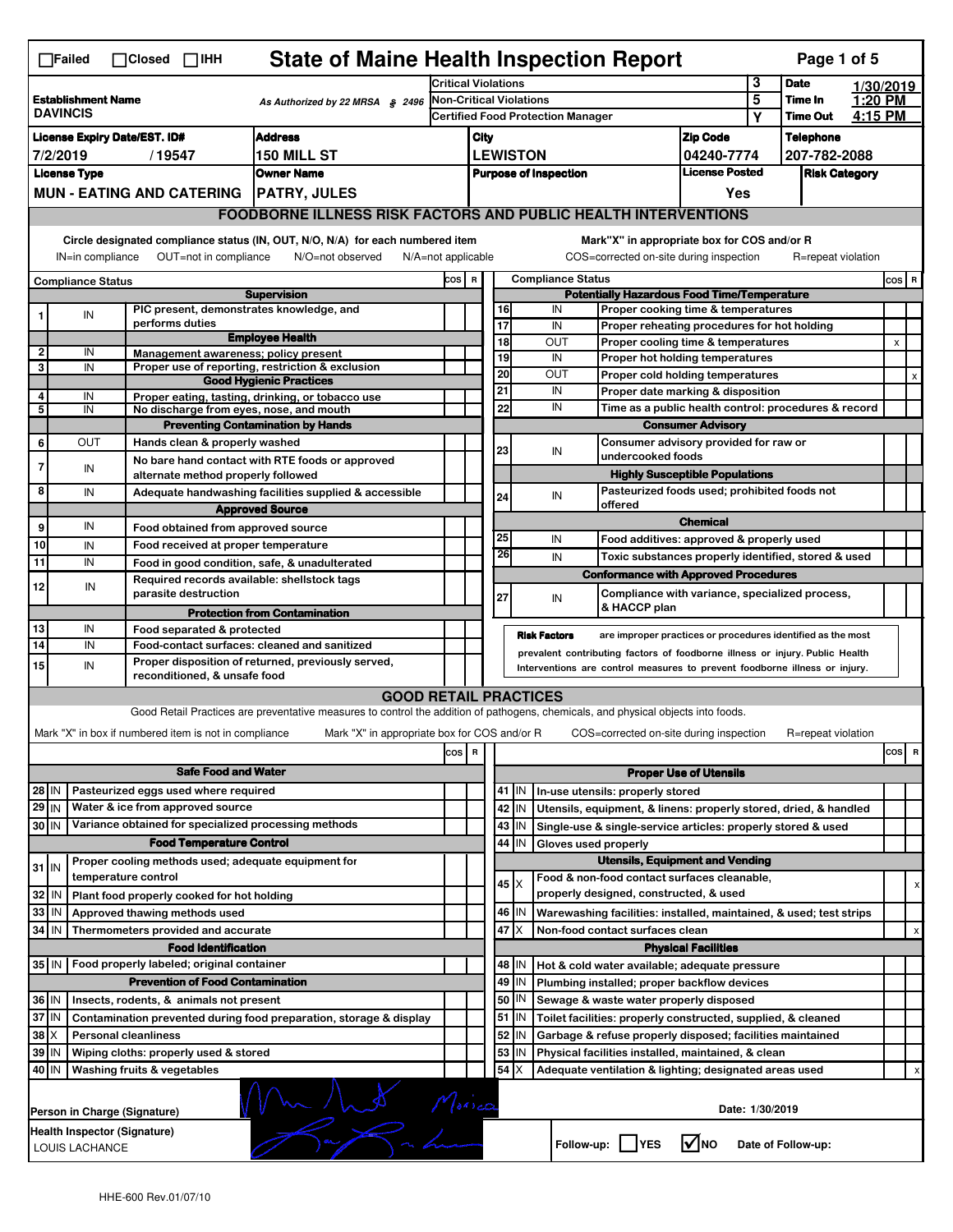|                                                                 | <b>State of Maine Health Inspection Report</b><br>Page 1 of 5<br>$\Box$ Failed<br>$\Box$ Closed $\Box$ IHH                                                                                                                                                                                |                |                                                                                 |                                                                                                                                   |                                          |                                                        |                       |                                                    |                                                                                    |                               |                      |                    |           |         |   |
|-----------------------------------------------------------------|-------------------------------------------------------------------------------------------------------------------------------------------------------------------------------------------------------------------------------------------------------------------------------------------|----------------|---------------------------------------------------------------------------------|-----------------------------------------------------------------------------------------------------------------------------------|------------------------------------------|--------------------------------------------------------|-----------------------|----------------------------------------------------|------------------------------------------------------------------------------------|-------------------------------|----------------------|--------------------|-----------|---------|---|
|                                                                 |                                                                                                                                                                                                                                                                                           |                |                                                                                 |                                                                                                                                   | <b>Critical Violations</b>               |                                                        |                       |                                                    |                                                                                    |                               | 3                    | <b>Date</b>        | 1/30/2019 |         |   |
|                                                                 | <b>Establishment Name</b><br>As Authorized by 22 MRSA § 2496<br><b>DAVINCIS</b>                                                                                                                                                                                                           |                |                                                                                 |                                                                                                                                   | Non-Critical Violations                  |                                                        |                       |                                                    |                                                                                    |                               | 5                    | Time In            | 1:20 PM   |         |   |
|                                                                 |                                                                                                                                                                                                                                                                                           |                |                                                                                 |                                                                                                                                   | <b>Certified Food Protection Manager</b> |                                                        |                       |                                                    |                                                                                    |                               | Υ                    | <b>Time Out</b>    | 4:15 PM   |         |   |
| <b>Address</b><br><b>License Expiry Date/EST. ID#</b>           |                                                                                                                                                                                                                                                                                           |                |                                                                                 | <b>Zip Code</b><br>City                                                                                                           |                                          |                                                        |                       |                                                    |                                                                                    |                               | <b>Telephone</b>     |                    |           |         |   |
| 7/2/2019<br>/19547<br><b>150 MILL ST</b><br><b>License Type</b> |                                                                                                                                                                                                                                                                                           |                |                                                                                 | <b>LEWISTON</b>                                                                                                                   |                                          |                                                        |                       |                                                    | 04240-7774                                                                         |                               | 207-782-2088         |                    |           |         |   |
|                                                                 |                                                                                                                                                                                                                                                                                           |                |                                                                                 | <b>Owner Name</b>                                                                                                                 |                                          | <b>License Posted</b><br><b>Purpose of Inspection</b>  |                       |                                                    |                                                                                    |                               | <b>Risk Category</b> |                    |           |         |   |
|                                                                 |                                                                                                                                                                                                                                                                                           |                | MUN - EATING AND CATERING   PATRY, JULES                                        |                                                                                                                                   |                                          |                                                        |                       |                                                    |                                                                                    | Yes                           |                      |                    |           |         |   |
|                                                                 | <b>FOODBORNE ILLNESS RISK FACTORS AND PUBLIC HEALTH INTERVENTIONS</b>                                                                                                                                                                                                                     |                |                                                                                 |                                                                                                                                   |                                          |                                                        |                       |                                                    |                                                                                    |                               |                      |                    |           |         |   |
|                                                                 | Circle designated compliance status (IN, OUT, N/O, N/A) for each numbered item<br>Mark"X" in appropriate box for COS and/or R<br>OUT=not in compliance<br>COS=corrected on-site during inspection<br>IN=in compliance<br>N/O=not observed<br>$N/A = not$ applicable<br>R=repeat violation |                |                                                                                 |                                                                                                                                   |                                          |                                                        |                       |                                                    |                                                                                    |                               |                      |                    |           |         |   |
|                                                                 |                                                                                                                                                                                                                                                                                           |                |                                                                                 |                                                                                                                                   | COS R                                    |                                                        |                       |                                                    | <b>Compliance Status</b>                                                           |                               |                      |                    |           | $cos$ R |   |
| <b>Compliance Status</b><br><b>Supervision</b>                  |                                                                                                                                                                                                                                                                                           |                |                                                                                 |                                                                                                                                   |                                          |                                                        |                       | <b>Potentially Hazardous Food Time/Temperature</b> |                                                                                    |                               |                      |                    |           |         |   |
|                                                                 |                                                                                                                                                                                                                                                                                           | IN             | PIC present, demonstrates knowledge, and                                        |                                                                                                                                   |                                          |                                                        | 16                    |                                                    | IN<br>Proper cooking time & temperatures                                           |                               |                      |                    |           |         |   |
|                                                                 |                                                                                                                                                                                                                                                                                           |                | performs duties                                                                 | <b>Employee Health</b>                                                                                                            |                                          |                                                        | $\overline{17}$<br>18 |                                                    | IN<br>Proper reheating procedures for hot holding<br>OUT                           |                               |                      |                    |           | X       |   |
| 2                                                               |                                                                                                                                                                                                                                                                                           | IN             | Management awareness: policy present                                            |                                                                                                                                   |                                          |                                                        | 19                    |                                                    | Proper cooling time & temperatures<br>IN<br>Proper hot holding temperatures        |                               |                      |                    |           |         |   |
| 3                                                               |                                                                                                                                                                                                                                                                                           | IN             |                                                                                 | Proper use of reporting, restriction & exclusion                                                                                  |                                          |                                                        | $\overline{20}$       |                                                    | OUT<br>Proper cold holding temperatures                                            |                               |                      |                    |           |         |   |
| 4                                                               |                                                                                                                                                                                                                                                                                           | IN             |                                                                                 | <b>Good Hygienic Practices</b><br>Proper eating, tasting, drinking, or tobacco use                                                |                                          |                                                        | 21                    |                                                    | IN<br>Proper date marking & disposition                                            |                               |                      |                    |           |         |   |
| 5                                                               |                                                                                                                                                                                                                                                                                           | IN             | No discharge from eyes, nose, and mouth                                         |                                                                                                                                   |                                          |                                                        | 22                    |                                                    | IN<br>Time as a public health control: procedures & record                         |                               |                      |                    |           |         |   |
|                                                                 |                                                                                                                                                                                                                                                                                           |                |                                                                                 | <b>Preventing Contamination by Hands</b>                                                                                          |                                          |                                                        |                       |                                                    |                                                                                    | <b>Consumer Advisory</b>      |                      |                    |           |         |   |
| 6                                                               |                                                                                                                                                                                                                                                                                           | OUT            | Hands clean & properly washed                                                   |                                                                                                                                   |                                          |                                                        | 23                    |                                                    | Consumer advisory provided for raw or<br>IN                                        |                               |                      |                    |           |         |   |
| 7                                                               |                                                                                                                                                                                                                                                                                           | IN             |                                                                                 | No bare hand contact with RTE foods or approved                                                                                   |                                          |                                                        |                       |                                                    | undercooked foods                                                                  |                               |                      |                    |           |         |   |
|                                                                 |                                                                                                                                                                                                                                                                                           |                | alternate method properly followed                                              |                                                                                                                                   |                                          |                                                        |                       |                                                    | <b>Highly Susceptible Populations</b>                                              |                               |                      |                    |           |         |   |
| 8                                                               |                                                                                                                                                                                                                                                                                           | IN             |                                                                                 | Adequate handwashing facilities supplied & accessible<br><b>Approved Source</b>                                                   |                                          |                                                        | 24                    |                                                    | Pasteurized foods used; prohibited foods not<br>IN<br>offered                      |                               |                      |                    |           |         |   |
| 9                                                               |                                                                                                                                                                                                                                                                                           | IN             | Food obtained from approved source                                              |                                                                                                                                   |                                          |                                                        |                       |                                                    |                                                                                    | <b>Chemical</b>               |                      |                    |           |         |   |
| 10                                                              |                                                                                                                                                                                                                                                                                           | IN             | Food received at proper temperature                                             |                                                                                                                                   |                                          |                                                        | 25                    |                                                    | IN<br>Food additives: approved & properly used                                     |                               |                      |                    |           |         |   |
| 11                                                              |                                                                                                                                                                                                                                                                                           | IN             | Food in good condition, safe, & unadulterated                                   |                                                                                                                                   |                                          |                                                        | 26                    |                                                    | IN<br>Toxic substances properly identified, stored & used                          |                               |                      |                    |           |         |   |
|                                                                 |                                                                                                                                                                                                                                                                                           |                | Required records available: shellstock tags                                     |                                                                                                                                   |                                          |                                                        |                       |                                                    | <b>Conformance with Approved Procedures</b>                                        |                               |                      |                    |           |         |   |
| 12                                                              |                                                                                                                                                                                                                                                                                           | IN             | parasite destruction                                                            |                                                                                                                                   |                                          |                                                        | 27                    |                                                    | Compliance with variance, specialized process,<br>IN                               |                               |                      |                    |           |         |   |
|                                                                 |                                                                                                                                                                                                                                                                                           |                |                                                                                 | <b>Protection from Contamination</b>                                                                                              |                                          |                                                        |                       |                                                    | & HACCP plan                                                                       |                               |                      |                    |           |         |   |
| 13                                                              |                                                                                                                                                                                                                                                                                           | IN             | Food separated & protected                                                      |                                                                                                                                   |                                          |                                                        |                       |                                                    | <b>Risk Factors</b><br>are improper practices or procedures identified as the most |                               |                      |                    |           |         |   |
| 14                                                              |                                                                                                                                                                                                                                                                                           | IN             | Food-contact surfaces: cleaned and sanitized                                    |                                                                                                                                   |                                          |                                                        |                       |                                                    | prevalent contributing factors of foodborne illness or injury. Public Health       |                               |                      |                    |           |         |   |
| 15                                                              |                                                                                                                                                                                                                                                                                           | IN             | reconditioned, & unsafe food                                                    | Proper disposition of returned, previously served,                                                                                |                                          |                                                        |                       |                                                    | Interventions are control measures to prevent foodborne illness or injury.         |                               |                      |                    |           |         |   |
|                                                                 |                                                                                                                                                                                                                                                                                           |                |                                                                                 | <b>GOOD RETAIL PRACTICES</b>                                                                                                      |                                          |                                                        |                       |                                                    |                                                                                    |                               |                      |                    |           |         |   |
|                                                                 |                                                                                                                                                                                                                                                                                           |                |                                                                                 | Good Retail Practices are preventative measures to control the addition of pathogens, chemicals, and physical objects into foods. |                                          |                                                        |                       |                                                    |                                                                                    |                               |                      |                    |           |         |   |
|                                                                 |                                                                                                                                                                                                                                                                                           |                | Mark "X" in box if numbered item is not in compliance                           | Mark "X" in appropriate box for COS and/or R                                                                                      |                                          |                                                        |                       |                                                    | COS=corrected on-site during inspection                                            |                               |                      | R=repeat violation |           |         |   |
|                                                                 |                                                                                                                                                                                                                                                                                           |                |                                                                                 |                                                                                                                                   | cos                                      | R                                                      |                       |                                                    |                                                                                    |                               |                      |                    |           | cos     | R |
|                                                                 |                                                                                                                                                                                                                                                                                           |                | <b>Safe Food and Water</b>                                                      |                                                                                                                                   |                                          |                                                        |                       |                                                    |                                                                                    | <b>Proper Use of Utensils</b> |                      |                    |           |         |   |
| 28 IN                                                           |                                                                                                                                                                                                                                                                                           |                | Pasteurized eggs used where required                                            |                                                                                                                                   |                                          |                                                        |                       | 41   IN                                            | In-use utensils: properly stored                                                   |                               |                      |                    |           |         |   |
| 29 IN                                                           |                                                                                                                                                                                                                                                                                           |                | Water & ice from approved source                                                |                                                                                                                                   |                                          |                                                        |                       | 42 IN                                              | Utensils, equipment, & linens: properly stored, dried, & handled                   |                               |                      |                    |           |         |   |
| 30 IN                                                           |                                                                                                                                                                                                                                                                                           |                | Variance obtained for specialized processing methods                            |                                                                                                                                   |                                          |                                                        |                       | 43   IN                                            | Single-use & single-service articles: properly stored & used                       |                               |                      |                    |           |         |   |
|                                                                 |                                                                                                                                                                                                                                                                                           |                | <b>Food Temperature Control</b>                                                 |                                                                                                                                   |                                          |                                                        | 44                    | IN                                                 | Gloves used properly                                                               |                               |                      |                    |           |         |   |
| $31$ IN                                                         |                                                                                                                                                                                                                                                                                           |                | Proper cooling methods used; adequate equipment for                             |                                                                                                                                   |                                          |                                                        |                       |                                                    | <b>Utensils, Equipment and Vending</b>                                             |                               |                      |                    |           |         |   |
|                                                                 |                                                                                                                                                                                                                                                                                           |                | temperature control                                                             |                                                                                                                                   |                                          |                                                        |                       | $45 \times$                                        | Food & non-food contact surfaces cleanable,                                        |                               |                      |                    |           |         | х |
| 32                                                              | IN                                                                                                                                                                                                                                                                                        |                | Plant food properly cooked for hot holding                                      |                                                                                                                                   |                                          |                                                        |                       |                                                    | properly designed, constructed, & used                                             |                               |                      |                    |           |         |   |
| 33                                                              | IN                                                                                                                                                                                                                                                                                        |                | Approved thawing methods used                                                   |                                                                                                                                   |                                          |                                                        |                       | 46   IN                                            | Warewashing facilities: installed, maintained, & used; test strips                 |                               |                      |                    |           |         |   |
| 34 IN                                                           |                                                                                                                                                                                                                                                                                           |                | Thermometers provided and accurate                                              |                                                                                                                                   |                                          |                                                        | 47                    | ΙX                                                 | Non-food contact surfaces clean                                                    |                               |                      |                    |           |         | x |
|                                                                 |                                                                                                                                                                                                                                                                                           |                | <b>Food Identification</b><br>35 IN   Food properly labeled; original container |                                                                                                                                   |                                          |                                                        | 48                    | ΙN                                                 | Hot & cold water available; adequate pressure                                      | <b>Physical Facilities</b>    |                      |                    |           |         |   |
|                                                                 |                                                                                                                                                                                                                                                                                           |                | <b>Prevention of Food Contamination</b>                                         |                                                                                                                                   |                                          |                                                        |                       | 49 IN                                              | Plumbing installed; proper backflow devices                                        |                               |                      |                    |           |         |   |
| 36 IN                                                           |                                                                                                                                                                                                                                                                                           |                | Insects, rodents, & animals not present                                         |                                                                                                                                   |                                          |                                                        |                       | 50   IN                                            | Sewage & waste water properly disposed                                             |                               |                      |                    |           |         |   |
| 37 IN                                                           |                                                                                                                                                                                                                                                                                           |                |                                                                                 | Contamination prevented during food preparation, storage & display                                                                |                                          |                                                        |                       | 51   IN                                            | Toilet facilities: properly constructed, supplied, & cleaned                       |                               |                      |                    |           |         |   |
| 38                                                              |                                                                                                                                                                                                                                                                                           |                | <b>Personal cleanliness</b>                                                     |                                                                                                                                   |                                          |                                                        | 52                    | IN                                                 | Garbage & refuse properly disposed; facilities maintained                          |                               |                      |                    |           |         |   |
| 39 IN                                                           |                                                                                                                                                                                                                                                                                           |                | Wiping cloths: properly used & stored                                           |                                                                                                                                   |                                          |                                                        | 53                    | IN                                                 | Physical facilities installed, maintained, & clean                                 |                               |                      |                    |           |         |   |
| 54<br>40 IN<br>Washing fruits & vegetables<br>ΙX                |                                                                                                                                                                                                                                                                                           |                |                                                                                 |                                                                                                                                   |                                          | Adequate ventilation & lighting; designated areas used |                       |                                                    |                                                                                    |                               |                      |                    |           |         |   |
|                                                                 |                                                                                                                                                                                                                                                                                           |                |                                                                                 |                                                                                                                                   |                                          |                                                        |                       |                                                    |                                                                                    |                               |                      |                    |           |         |   |
|                                                                 | S Moisca<br>Date: 1/30/2019<br>Person in Charge (Signature)                                                                                                                                                                                                                               |                |                                                                                 |                                                                                                                                   |                                          |                                                        |                       |                                                    |                                                                                    |                               |                      |                    |           |         |   |
|                                                                 | Health Inspector (Signature)                                                                                                                                                                                                                                                              |                |                                                                                 |                                                                                                                                   |                                          |                                                        |                       |                                                    |                                                                                    |                               |                      |                    |           |         |   |
|                                                                 |                                                                                                                                                                                                                                                                                           | LOUIS LACHANCE |                                                                                 |                                                                                                                                   |                                          |                                                        |                       |                                                    | Follow-up:  <br><b>YES</b>                                                         | l√lno                         |                      | Date of Follow-up: |           |         |   |
|                                                                 |                                                                                                                                                                                                                                                                                           |                |                                                                                 |                                                                                                                                   |                                          |                                                        |                       |                                                    |                                                                                    |                               |                      |                    |           |         |   |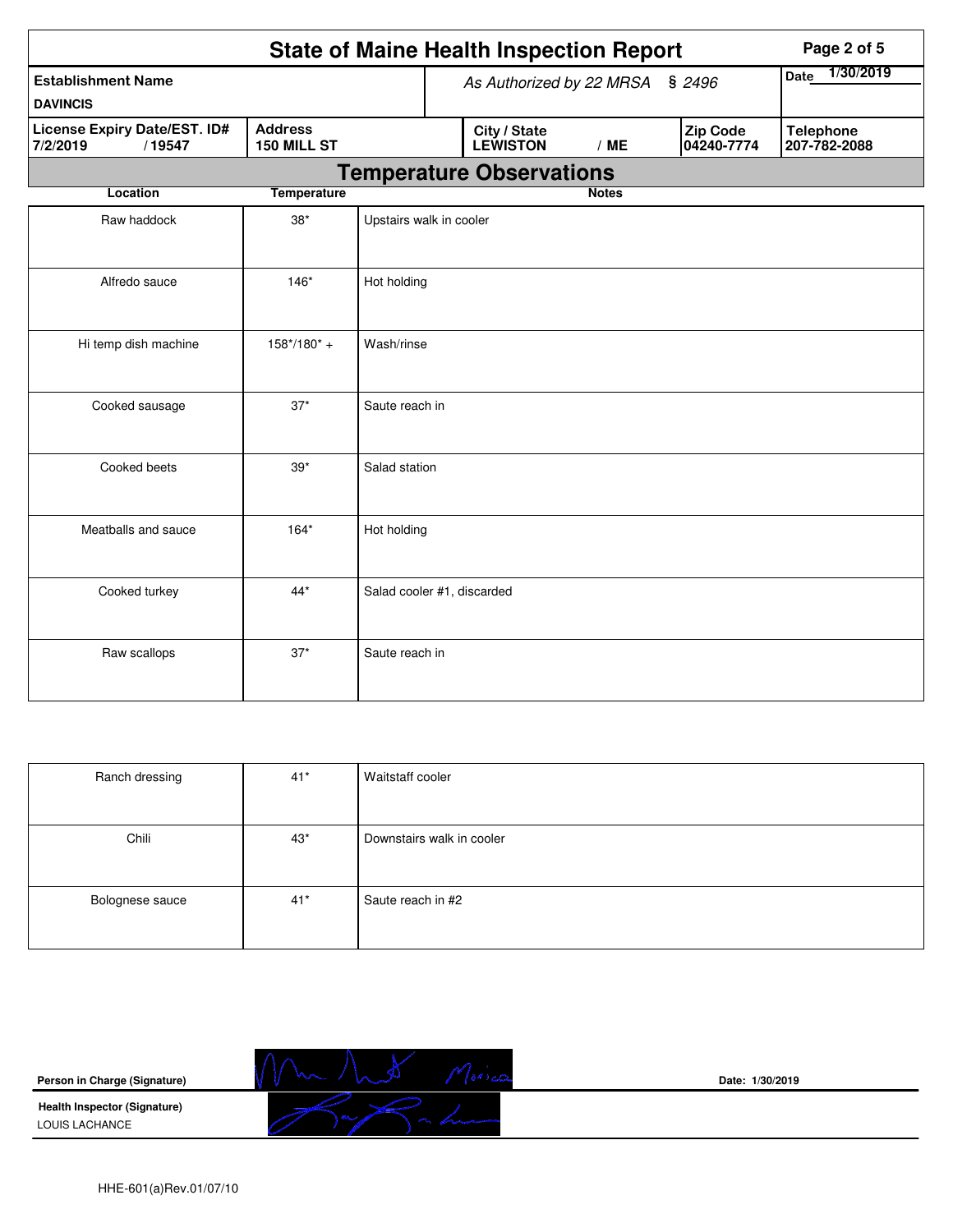|                                                    |                               |                            |  | <b>State of Maine Health Inspection Report</b> | Page 2 of 5              |                               |                                  |
|----------------------------------------------------|-------------------------------|----------------------------|--|------------------------------------------------|--------------------------|-------------------------------|----------------------------------|
| <b>Establishment Name</b>                          |                               |                            |  | As Authorized by 22 MRSA § 2496                | 1/30/2019<br><b>Date</b> |                               |                                  |
| <b>DAVINCIS</b>                                    |                               |                            |  |                                                |                          |                               |                                  |
| License Expiry Date/EST. ID#<br>7/2/2019<br>/19547 | <b>Address</b><br>150 MILL ST |                            |  | City / State<br><b>LEWISTON</b>                | /ME                      | <b>Zip Code</b><br>04240-7774 | <b>Telephone</b><br>207-782-2088 |
|                                                    |                               |                            |  | <b>Temperature Observations</b>                |                          |                               |                                  |
| Location                                           | <b>Temperature</b>            |                            |  |                                                | <b>Notes</b>             |                               |                                  |
| Raw haddock                                        | $38^{\ast}$                   | Upstairs walk in cooler    |  |                                                |                          |                               |                                  |
| Alfredo sauce                                      | $146*$                        | Hot holding                |  |                                                |                          |                               |                                  |
| Hi temp dish machine                               | $158*/180* +$                 | Wash/rinse                 |  |                                                |                          |                               |                                  |
| Cooked sausage                                     | $37*$                         | Saute reach in             |  |                                                |                          |                               |                                  |
| Cooked beets                                       | $39*$                         | Salad station              |  |                                                |                          |                               |                                  |
| Meatballs and sauce                                | $164*$                        | Hot holding                |  |                                                |                          |                               |                                  |
| Cooked turkey                                      | $44*$                         | Salad cooler #1, discarded |  |                                                |                          |                               |                                  |
| Raw scallops                                       | $37*$                         | Saute reach in             |  |                                                |                          |                               |                                  |

| Ranch dressing  | $41*$ | Waitstaff cooler          |
|-----------------|-------|---------------------------|
|                 |       |                           |
|                 |       |                           |
| Chili           | $43*$ | Downstairs walk in cooler |
|                 |       |                           |
|                 |       |                           |
| Bolognese sauce | $41*$ | Saute reach in #2         |
|                 |       |                           |
|                 |       |                           |

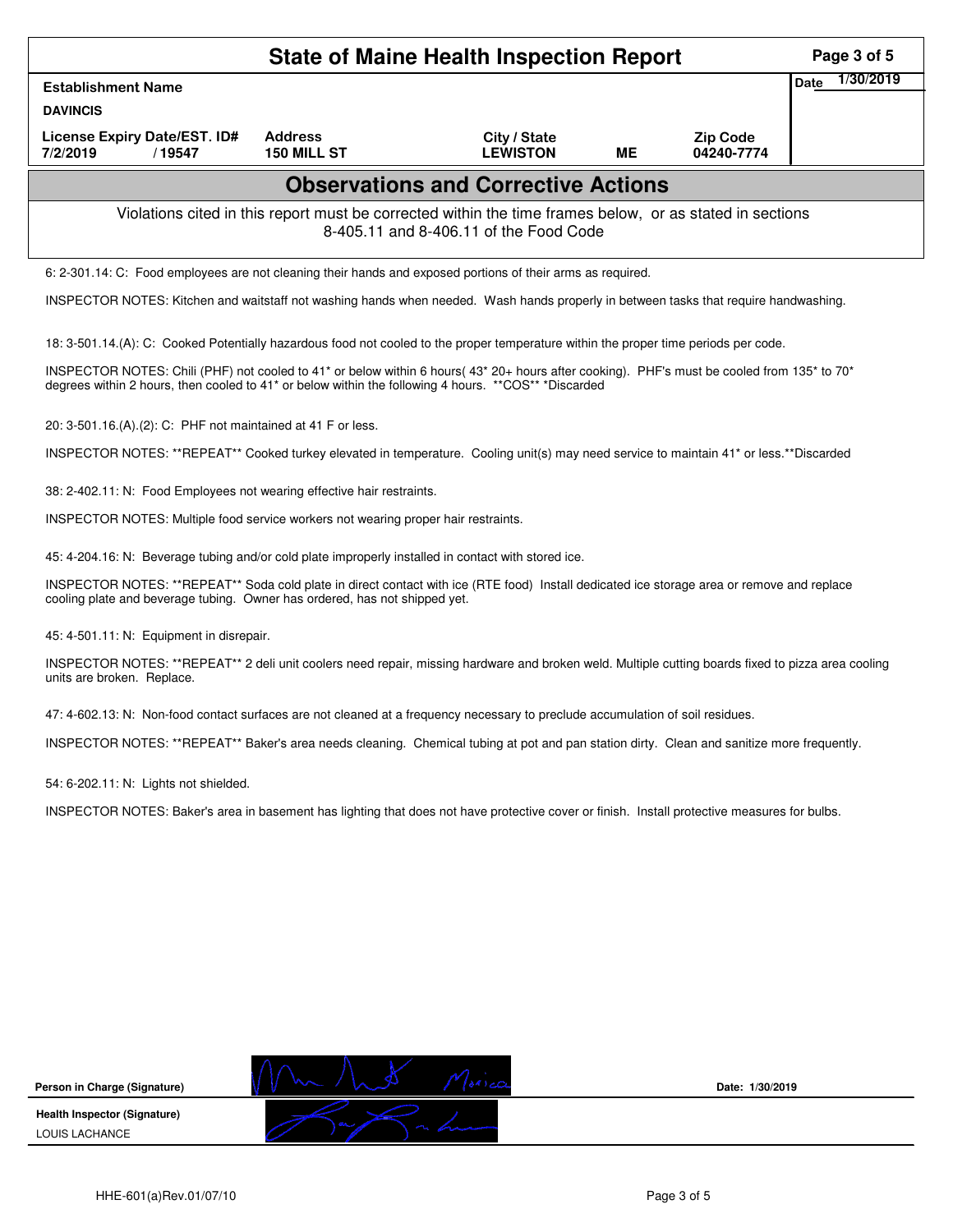|                                                                                                                                                                                                                                                                 |                                                                                                                                                    | <b>State of Maine Health Inspection Report</b> |    |                               | Page 3 of 5              |  |  |  |
|-----------------------------------------------------------------------------------------------------------------------------------------------------------------------------------------------------------------------------------------------------------------|----------------------------------------------------------------------------------------------------------------------------------------------------|------------------------------------------------|----|-------------------------------|--------------------------|--|--|--|
| <b>Establishment Name</b>                                                                                                                                                                                                                                       |                                                                                                                                                    |                                                |    |                               | 1/30/2019<br><b>Date</b> |  |  |  |
| <b>DAVINCIS</b>                                                                                                                                                                                                                                                 |                                                                                                                                                    |                                                |    |                               |                          |  |  |  |
| License Expiry Date/EST. ID#<br>7/2/2019<br>/19547                                                                                                                                                                                                              | <b>Address</b><br>150 MILL ST                                                                                                                      | City / State<br><b>LEWISTON</b>                | ME | <b>Zip Code</b><br>04240-7774 |                          |  |  |  |
|                                                                                                                                                                                                                                                                 |                                                                                                                                                    | <b>Observations and Corrective Actions</b>     |    |                               |                          |  |  |  |
|                                                                                                                                                                                                                                                                 | Violations cited in this report must be corrected within the time frames below, or as stated in sections<br>8-405.11 and 8-406.11 of the Food Code |                                                |    |                               |                          |  |  |  |
| 6: 2-301.14: C: Food employees are not cleaning their hands and exposed portions of their arms as required.                                                                                                                                                     |                                                                                                                                                    |                                                |    |                               |                          |  |  |  |
| INSPECTOR NOTES: Kitchen and waitstaff not washing hands when needed. Wash hands properly in between tasks that require handwashing.                                                                                                                            |                                                                                                                                                    |                                                |    |                               |                          |  |  |  |
| 18: 3-501.14.(A): C: Cooked Potentially hazardous food not cooled to the proper temperature within the proper time periods per code.                                                                                                                            |                                                                                                                                                    |                                                |    |                               |                          |  |  |  |
| INSPECTOR NOTES: Chili (PHF) not cooled to 41* or below within 6 hours (43* 20+ hours after cooking). PHF's must be cooled from 135* to 70*<br>degrees within 2 hours, then cooled to 41 <sup>*</sup> or below within the following 4 hours. **COS** *Discarded |                                                                                                                                                    |                                                |    |                               |                          |  |  |  |
| 20: 3-501.16.(A).(2): C: PHF not maintained at 41 F or less.                                                                                                                                                                                                    |                                                                                                                                                    |                                                |    |                               |                          |  |  |  |
| INSPECTOR NOTES: **REPEAT** Cooked turkey elevated in temperature. Cooling unit(s) may need service to maintain 41* or less.**Discarded                                                                                                                         |                                                                                                                                                    |                                                |    |                               |                          |  |  |  |
| 38: 2-402.11: N: Food Employees not wearing effective hair restraints.                                                                                                                                                                                          |                                                                                                                                                    |                                                |    |                               |                          |  |  |  |
| INSPECTOR NOTES: Multiple food service workers not wearing proper hair restraints.                                                                                                                                                                              |                                                                                                                                                    |                                                |    |                               |                          |  |  |  |
| 45: 4-204.16: N: Beverage tubing and/or cold plate improperly installed in contact with stored ice.                                                                                                                                                             |                                                                                                                                                    |                                                |    |                               |                          |  |  |  |
| INSPECTOR NOTES: **REPEAT** Soda cold plate in direct contact with ice (RTE food) Install dedicated ice storage area or remove and replace<br>cooling plate and beverage tubing. Owner has ordered, has not shipped yet.                                        |                                                                                                                                                    |                                                |    |                               |                          |  |  |  |
| 45: 4-501.11: N: Equipment in disrepair.                                                                                                                                                                                                                        |                                                                                                                                                    |                                                |    |                               |                          |  |  |  |
| INSPECTOR NOTES: **REPEAT** 2 deli unit coolers need repair, missing hardware and broken weld. Multiple cutting boards fixed to pizza area cooling<br>units are broken. Replace.                                                                                |                                                                                                                                                    |                                                |    |                               |                          |  |  |  |
| 47: 4-602.13: N: Non-food contact surfaces are not cleaned at a frequency necessary to preclude accumulation of soil residues.                                                                                                                                  |                                                                                                                                                    |                                                |    |                               |                          |  |  |  |
| INSPECTOR NOTES: **REPEAT** Baker's area needs cleaning. Chemical tubing at pot and pan station dirty. Clean and sanitize more frequently.                                                                                                                      |                                                                                                                                                    |                                                |    |                               |                          |  |  |  |
| 54: 6-202.11: N: Lights not shielded.                                                                                                                                                                                                                           |                                                                                                                                                    |                                                |    |                               |                          |  |  |  |
| INSPECTOR NOTES: Baker's area in basement has lighting that does not have protective cover or finish. Install protective measures for bulbs.                                                                                                                    |                                                                                                                                                    |                                                |    |                               |                          |  |  |  |
|                                                                                                                                                                                                                                                                 |                                                                                                                                                    |                                                |    |                               |                          |  |  |  |
|                                                                                                                                                                                                                                                                 |                                                                                                                                                    |                                                |    |                               |                          |  |  |  |
|                                                                                                                                                                                                                                                                 |                                                                                                                                                    |                                                |    |                               |                          |  |  |  |
|                                                                                                                                                                                                                                                                 |                                                                                                                                                    |                                                |    |                               |                          |  |  |  |
|                                                                                                                                                                                                                                                                 |                                                                                                                                                    |                                                |    |                               |                          |  |  |  |
|                                                                                                                                                                                                                                                                 |                                                                                                                                                    |                                                |    |                               |                          |  |  |  |

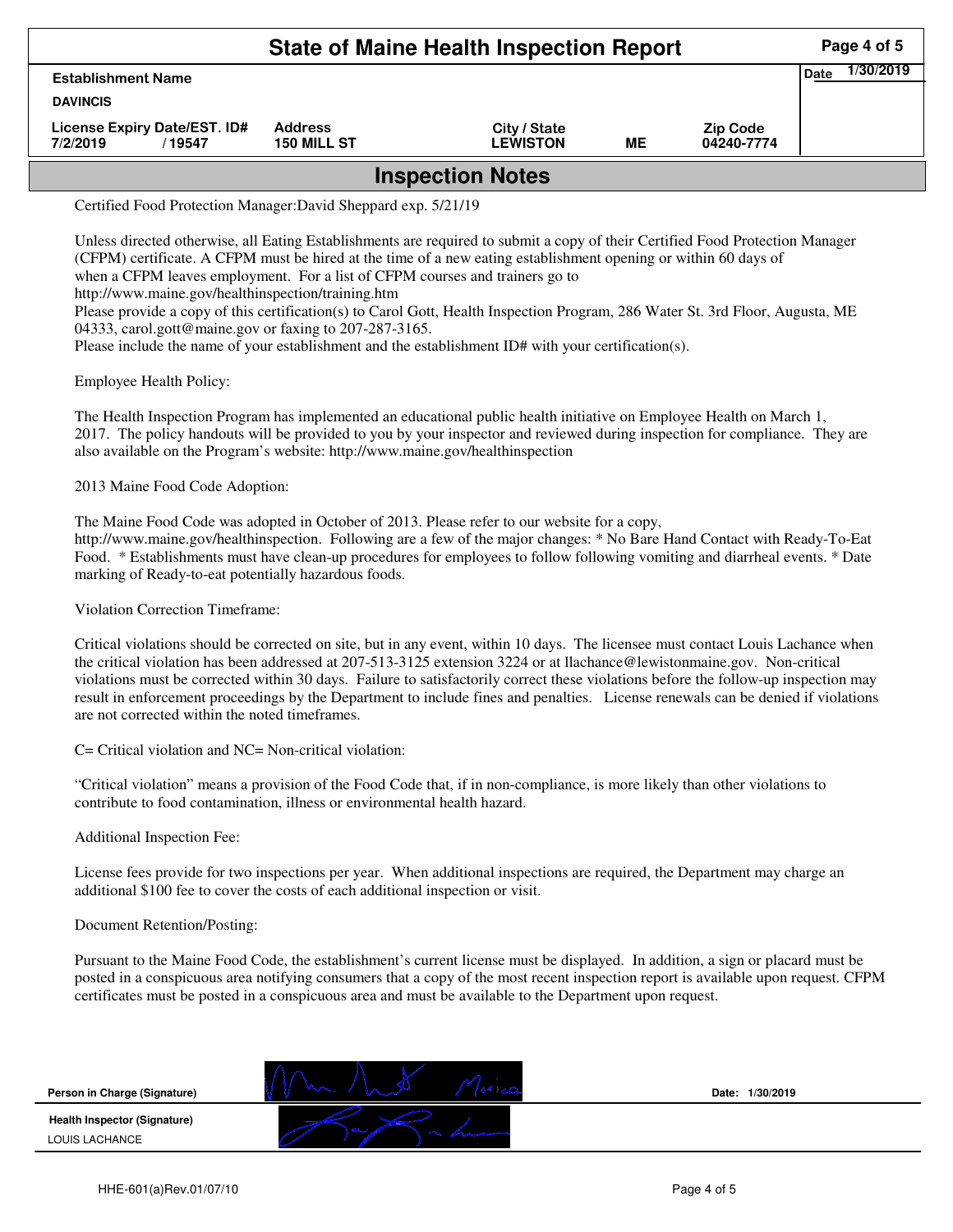| <b>State of Maine Health Inspection Report</b>      |                               |                                 |    |                               |  |  |  |  |
|-----------------------------------------------------|-------------------------------|---------------------------------|----|-------------------------------|--|--|--|--|
| <b>Establishment Name</b>                           |                               |                                 |    |                               |  |  |  |  |
| <b>DAVINCIS</b>                                     |                               |                                 |    |                               |  |  |  |  |
| License Expiry Date/EST. ID#<br>7/2/2019<br>19547 / | <b>Address</b><br>150 MILL ST | City / State<br><b>LEWISTON</b> | MЕ | <b>Zip Code</b><br>04240-7774 |  |  |  |  |
| <b>Inspection Notes</b>                             |                               |                                 |    |                               |  |  |  |  |

Certified Food Protection Manager:David Sheppard exp. 5/21/19

Unless directed otherwise, all Eating Establishments are required to submit a copy of their Certified Food Protection Manager (CFPM) certificate. A CFPM must be hired at the time of a new eating establishment opening or within 60 days of when a CFPM leaves employment. For a list of CFPM courses and trainers go to http://www.maine.gov/healthinspection/training.htm Please provide a copy of this certification(s) to Carol Gott, Health Inspection Program, 286 Water St. 3rd Floor, Augusta, ME

04333, carol.gott@maine.gov or faxing to 207-287-3165. Please include the name of your establishment and the establishment ID# with your certification(s).

Employee Health Policy:

The Health Inspection Program has implemented an educational public health initiative on Employee Health on March 1, 2017. The policy handouts will be provided to you by your inspector and reviewed during inspection for compliance. They are also available on the Program's website: http://www.maine.gov/healthinspection

2013 Maine Food Code Adoption:

The Maine Food Code was adopted in October of 2013. Please refer to our website for a copy, http://www.maine.gov/healthinspection. Following are a few of the major changes: \* No Bare Hand Contact with Ready-To-Eat Food. \* Establishments must have clean-up procedures for employees to follow following vomiting and diarrheal events. \* Date marking of Ready-to-eat potentially hazardous foods.

Violation Correction Timeframe:

Critical violations should be corrected on site, but in any event, within 10 days. The licensee must contact Louis Lachance when the critical violation has been addressed at 207-513-3125 extension 3224 or at llachance@lewistonmaine.gov. Non-critical violations must be corrected within 30 days. Failure to satisfactorily correct these violations before the follow-up inspection may result in enforcement proceedings by the Department to include fines and penalties. License renewals can be denied if violations are not corrected within the noted timeframes.

C= Critical violation and NC= Non-critical violation:

"Critical violation" means a provision of the Food Code that, if in non-compliance, is more likely than other violations to contribute to food contamination, illness or environmental health hazard.

Additional Inspection Fee:

License fees provide for two inspections per year. When additional inspections are required, the Department may charge an additional \$100 fee to cover the costs of each additional inspection or visit.

## Document Retention/Posting:

Pursuant to the Maine Food Code, the establishment's current license must be displayed. In addition, a sign or placard must be posted in a conspicuous area notifying consumers that a copy of the most recent inspection report is available upon request. CFPM certificates must be posted in a conspicuous area and must be available to the Department upon request.